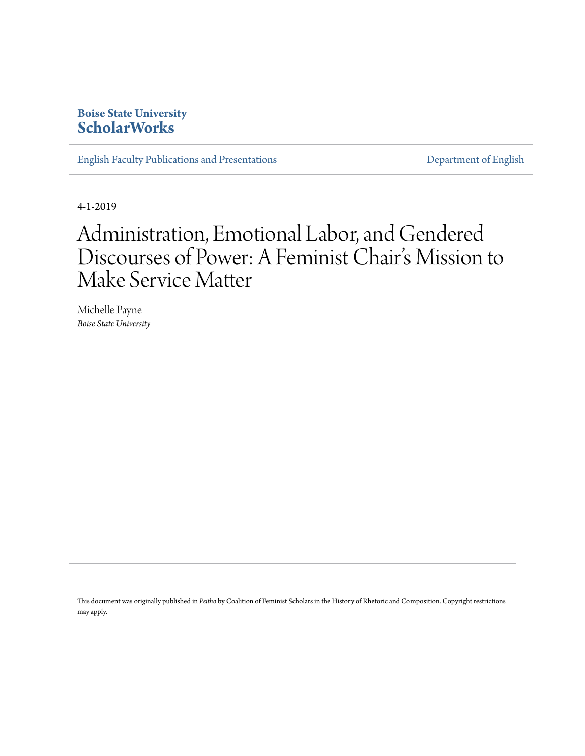### **Boise State University [ScholarWorks](https://scholarworks.boisestate.edu)**

[English Faculty Publications and Presentations](https://scholarworks.boisestate.edu/english_facpubs) **[Department of English](https://scholarworks.boisestate.edu/english)** 

4-1-2019

# Administration, Emotional Labor, and Gendered Discourses of Power: A Feminist Chair's Mission to Make Service Matter

Michelle Payne *Boise State University*

This document was originally published in *Peitho* by Coalition of Feminist Scholars in the History of Rhetoric and Composition. Copyright restrictions may apply.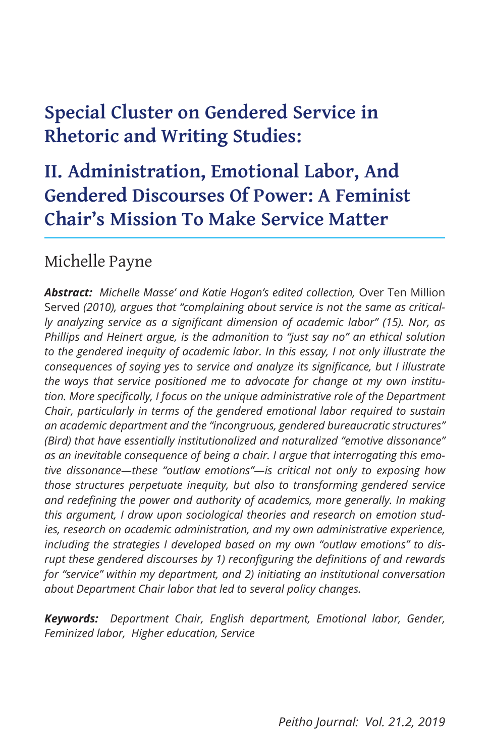# **Special Cluster on Gendered Service in Rhetoric and Writing Studies:**

## **II. Administration, Emotional Labor, And Gendered Discourses Of Power: A Feminist Chair's Mission To Make Service Matter**

### Michelle Payne

Abstract: Michelle Masse' and Katie Hogan's edited collection, Over Ten Million Served *(2010), argues that "complaining about service is not the same as critically analyzing service as a significant dimension of academic labor" (15). Nor, as Phillips and Heinert argue, is the admonition to "just say no" an ethical solution to the gendered inequity of academic labor. In this essay, I not only illustrate the consequences of saying yes to service and analyze its significance, but I illustrate the ways that service positioned me to advocate for change at my own institution. More specifically, I focus on the unique administrative role of the Department Chair, particularly in terms of the gendered emotional labor required to sustain an academic department and the "incongruous, gendered bureaucratic structures" (Bird) that have essentially institutionalized and naturalized "emotive dissonance" as an inevitable consequence of being a chair. I argue that interrogating this emotive dissonance—these "outlaw emotions"—is critical not only to exposing how those structures perpetuate inequity, but also to transforming gendered service and redefining the power and authority of academics, more generally. In making this argument, I draw upon sociological theories and research on emotion studies, research on academic administration, and my own administrative experience, including the strategies I developed based on my own "outlaw emotions" to disrupt these gendered discourses by 1) reconfiguring the definitions of and rewards for "service" within my department, and 2) initiating an institutional conversation about Department Chair labor that led to several policy changes.*

*Keywords: Department Chair, English department, Emotional labor, Gender, Feminized labor, Higher education, Service*

*Peitho Journal: Vol. 21.2, 2019*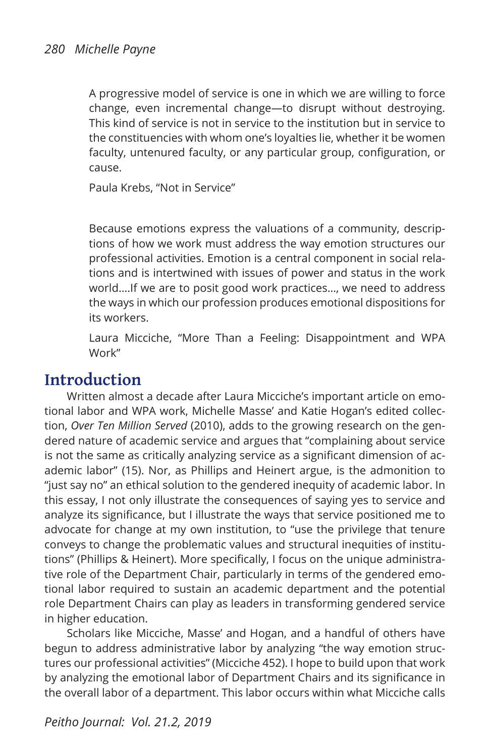A progressive model of service is one in which we are willing to force change, even incremental change—to disrupt without destroying. This kind of service is not in service to the institution but in service to the constituencies with whom one's loyalties lie, whether it be women faculty, untenured faculty, or any particular group, configuration, or cause.

Paula Krebs, "Not in Service"

Because emotions express the valuations of a community, descriptions of how we work must address the way emotion structures our professional activities. Emotion is a central component in social relations and is intertwined with issues of power and status in the work world….If we are to posit good work practices…, we need to address the ways in which our profession produces emotional dispositions for its workers.

Laura Micciche, "More Than a Feeling: Disappointment and WPA Work"

### **Introduction**

Written almost a decade after Laura Micciche's important article on emotional labor and WPA work, Michelle Masse' and Katie Hogan's edited collection, *Over Ten Million Served* (2010), adds to the growing research on the gendered nature of academic service and argues that "complaining about service is not the same as critically analyzing service as a significant dimension of academic labor" (15). Nor, as Phillips and Heinert argue, is the admonition to "just say no" an ethical solution to the gendered inequity of academic labor. In this essay, I not only illustrate the consequences of saying yes to service and analyze its significance, but I illustrate the ways that service positioned me to advocate for change at my own institution, to "use the privilege that tenure conveys to change the problematic values and structural inequities of institutions" (Phillips & Heinert). More specifically, I focus on the unique administrative role of the Department Chair, particularly in terms of the gendered emotional labor required to sustain an academic department and the potential role Department Chairs can play as leaders in transforming gendered service in higher education.

Scholars like Micciche, Masse' and Hogan, and a handful of others have begun to address administrative labor by analyzing "the way emotion structures our professional activities" (Micciche 452). I hope to build upon that work by analyzing the emotional labor of Department Chairs and its significance in the overall labor of a department. This labor occurs within what Micciche calls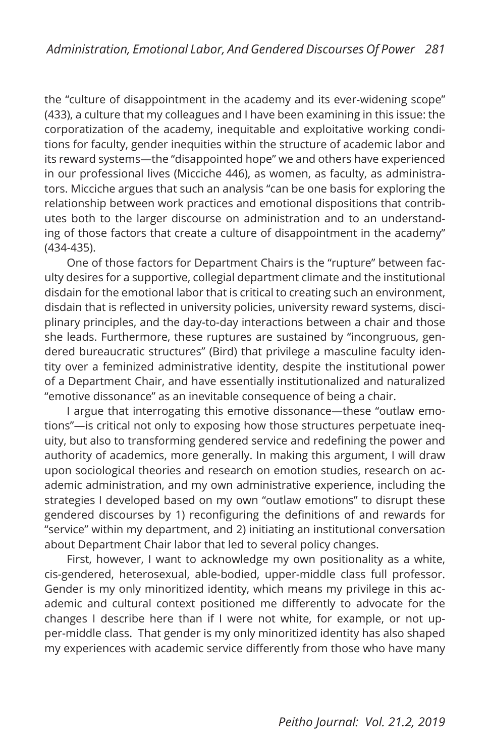the "culture of disappointment in the academy and its ever-widening scope" (433), a culture that my colleagues and I have been examining in this issue: the corporatization of the academy, inequitable and exploitative working conditions for faculty, gender inequities within the structure of academic labor and its reward systems—the "disappointed hope" we and others have experienced in our professional lives (Micciche 446), as women, as faculty, as administrators. Micciche argues that such an analysis "can be one basis for exploring the relationship between work practices and emotional dispositions that contributes both to the larger discourse on administration and to an understanding of those factors that create a culture of disappointment in the academy" (434-435).

One of those factors for Department Chairs is the "rupture" between faculty desires for a supportive, collegial department climate and the institutional disdain for the emotional labor that is critical to creating such an environment, disdain that is reflected in university policies, university reward systems, disciplinary principles, and the day-to-day interactions between a chair and those she leads. Furthermore, these ruptures are sustained by "incongruous, gendered bureaucratic structures" (Bird) that privilege a masculine faculty identity over a feminized administrative identity, despite the institutional power of a Department Chair, and have essentially institutionalized and naturalized "emotive dissonance" as an inevitable consequence of being a chair.

I argue that interrogating this emotive dissonance—these "outlaw emotions"—is critical not only to exposing how those structures perpetuate inequity, but also to transforming gendered service and redefining the power and authority of academics, more generally. In making this argument, I will draw upon sociological theories and research on emotion studies, research on academic administration, and my own administrative experience, including the strategies I developed based on my own "outlaw emotions" to disrupt these gendered discourses by 1) reconfiguring the definitions of and rewards for "service" within my department, and 2) initiating an institutional conversation about Department Chair labor that led to several policy changes.

First, however, I want to acknowledge my own positionality as a white, cis-gendered, heterosexual, able-bodied, upper-middle class full professor. Gender is my only minoritized identity, which means my privilege in this academic and cultural context positioned me differently to advocate for the changes I describe here than if I were not white, for example, or not upper-middle class. That gender is my only minoritized identity has also shaped my experiences with academic service differently from those who have many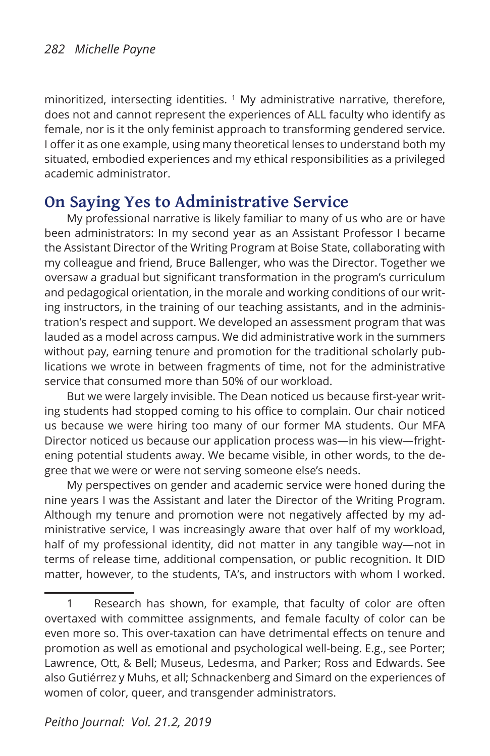minoritized, intersecting identities.  $1$  My administrative narrative, therefore, does not and cannot represent the experiences of ALL faculty who identify as female, nor is it the only feminist approach to transforming gendered service. I offer it as one example, using many theoretical lenses to understand both my situated, embodied experiences and my ethical responsibilities as a privileged academic administrator.

### **On Saying Yes to Administrative Service**

My professional narrative is likely familiar to many of us who are or have been administrators: In my second year as an Assistant Professor I became the Assistant Director of the Writing Program at Boise State, collaborating with my colleague and friend, Bruce Ballenger, who was the Director. Together we oversaw a gradual but significant transformation in the program's curriculum and pedagogical orientation, in the morale and working conditions of our writing instructors, in the training of our teaching assistants, and in the administration's respect and support. We developed an assessment program that was lauded as a model across campus. We did administrative work in the summers without pay, earning tenure and promotion for the traditional scholarly publications we wrote in between fragments of time, not for the administrative service that consumed more than 50% of our workload.

But we were largely invisible. The Dean noticed us because first-year writing students had stopped coming to his office to complain. Our chair noticed us because we were hiring too many of our former MA students. Our MFA Director noticed us because our application process was—in his view—frightening potential students away. We became visible, in other words, to the degree that we were or were not serving someone else's needs.

My perspectives on gender and academic service were honed during the nine years I was the Assistant and later the Director of the Writing Program. Although my tenure and promotion were not negatively affected by my administrative service, I was increasingly aware that over half of my workload, half of my professional identity, did not matter in any tangible way—not in terms of release time, additional compensation, or public recognition. It DID matter, however, to the students, TA's, and instructors with whom I worked.

<sup>1</sup> Research has shown, for example, that faculty of color are often overtaxed with committee assignments, and female faculty of color can be even more so. This over-taxation can have detrimental effects on tenure and promotion as well as emotional and psychological well-being. E.g., see Porter; Lawrence, Ott, & Bell; Museus, Ledesma, and Parker; Ross and Edwards. See also Gutiérrez y Muhs, et all; Schnackenberg and Simard on the experiences of women of color, queer, and transgender administrators.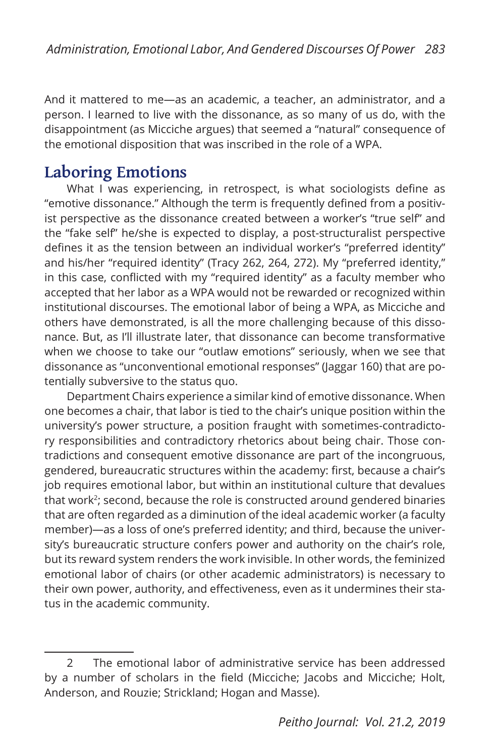And it mattered to me—as an academic, a teacher, an administrator, and a person. I learned to live with the dissonance, as so many of us do, with the disappointment (as Micciche argues) that seemed a "natural" consequence of the emotional disposition that was inscribed in the role of a WPA.

### **Laboring Emotions**

What I was experiencing, in retrospect, is what sociologists define as "emotive dissonance." Although the term is frequently defined from a positivist perspective as the dissonance created between a worker's "true self" and the "fake self" he/she is expected to display, a post-structuralist perspective defines it as the tension between an individual worker's "preferred identity" and his/her "required identity" (Tracy 262, 264, 272). My "preferred identity," in this case, conflicted with my "required identity" as a faculty member who accepted that her labor as a WPA would not be rewarded or recognized within institutional discourses. The emotional labor of being a WPA, as Micciche and others have demonstrated, is all the more challenging because of this dissonance. But, as I'll illustrate later, that dissonance can become transformative when we choose to take our "outlaw emotions" seriously, when we see that dissonance as "unconventional emotional responses" (Jaggar 160) that are potentially subversive to the status quo.

Department Chairs experience a similar kind of emotive dissonance. When one becomes a chair, that labor is tied to the chair's unique position within the university's power structure, a position fraught with sometimes-contradictory responsibilities and contradictory rhetorics about being chair. Those contradictions and consequent emotive dissonance are part of the incongruous, gendered, bureaucratic structures within the academy: first, because a chair's job requires emotional labor, but within an institutional culture that devalues that work<sup>2</sup>; second, because the role is constructed around gendered binaries that are often regarded as a diminution of the ideal academic worker (a faculty member)—as a loss of one's preferred identity; and third, because the university's bureaucratic structure confers power and authority on the chair's role, but its reward system renders the work invisible. In other words, the feminized emotional labor of chairs (or other academic administrators) is necessary to their own power, authority, and effectiveness, even as it undermines their status in the academic community.

<sup>2</sup> The emotional labor of administrative service has been addressed by a number of scholars in the field (Micciche; Jacobs and Micciche; Holt, Anderson, and Rouzie; Strickland; Hogan and Masse).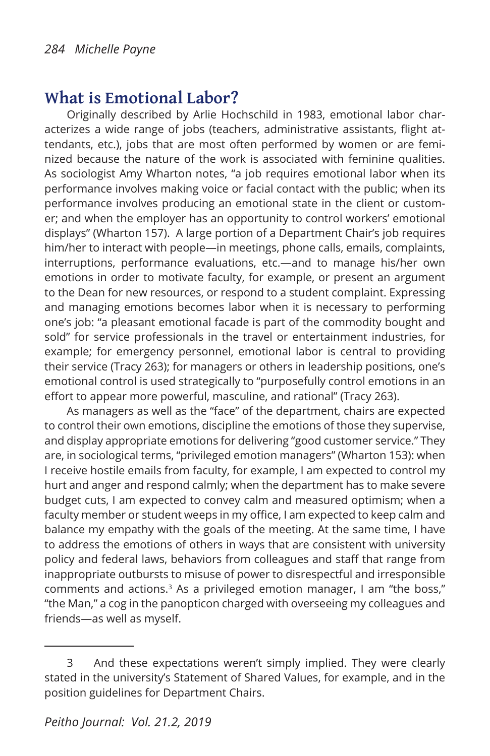### **What is Emotional Labor?**

Originally described by Arlie Hochschild in 1983, emotional labor characterizes a wide range of jobs (teachers, administrative assistants, flight attendants, etc.), jobs that are most often performed by women or are feminized because the nature of the work is associated with feminine qualities. As sociologist Amy Wharton notes, "a job requires emotional labor when its performance involves making voice or facial contact with the public; when its performance involves producing an emotional state in the client or customer; and when the employer has an opportunity to control workers' emotional displays" (Wharton 157). A large portion of a Department Chair's job requires him/her to interact with people—in meetings, phone calls, emails, complaints, interruptions, performance evaluations, etc.—and to manage his/her own emotions in order to motivate faculty, for example, or present an argument to the Dean for new resources, or respond to a student complaint. Expressing and managing emotions becomes labor when it is necessary to performing one's job: "a pleasant emotional facade is part of the commodity bought and sold" for service professionals in the travel or entertainment industries, for example; for emergency personnel, emotional labor is central to providing their service (Tracy 263); for managers or others in leadership positions, one's emotional control is used strategically to "purposefully control emotions in an effort to appear more powerful, masculine, and rational" (Tracy 263).

As managers as well as the "face" of the department, chairs are expected to control their own emotions, discipline the emotions of those they supervise, and display appropriate emotions for delivering "good customer service." They are, in sociological terms, "privileged emotion managers" (Wharton 153): when I receive hostile emails from faculty, for example, I am expected to control my hurt and anger and respond calmly; when the department has to make severe budget cuts, I am expected to convey calm and measured optimism; when a faculty member or student weeps in my office, I am expected to keep calm and balance my empathy with the goals of the meeting. At the same time, I have to address the emotions of others in ways that are consistent with university policy and federal laws, behaviors from colleagues and staff that range from inappropriate outbursts to misuse of power to disrespectful and irresponsible comments and actions.3 As a privileged emotion manager, I am "the boss," "the Man," a cog in the panopticon charged with overseeing my colleagues and friends—as well as myself.

<sup>3</sup> And these expectations weren't simply implied. They were clearly stated in the university's Statement of Shared Values, for example, and in the position guidelines for Department Chairs.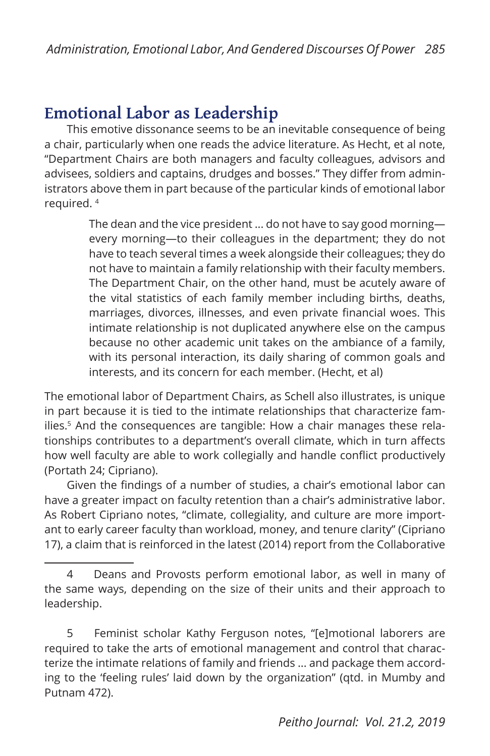### **Emotional Labor as Leadership**

This emotive dissonance seems to be an inevitable consequence of being a chair, particularly when one reads the advice literature. As Hecht, et al note, "Department Chairs are both managers and faculty colleagues, advisors and advisees, soldiers and captains, drudges and bosses." They differ from administrators above them in part because of the particular kinds of emotional labor required. 4

> The dean and the vice president ... do not have to say good morning every morning—to their colleagues in the department; they do not have to teach several times a week alongside their colleagues; they do not have to maintain a family relationship with their faculty members. The Department Chair, on the other hand, must be acutely aware of the vital statistics of each family member including births, deaths, marriages, divorces, illnesses, and even private financial woes. This intimate relationship is not duplicated anywhere else on the campus because no other academic unit takes on the ambiance of a family, with its personal interaction, its daily sharing of common goals and interests, and its concern for each member. (Hecht, et al)

The emotional labor of Department Chairs, as Schell also illustrates, is unique in part because it is tied to the intimate relationships that characterize families.<sup>5</sup> And the consequences are tangible: How a chair manages these relationships contributes to a department's overall climate, which in turn affects how well faculty are able to work collegially and handle conflict productively (Portath 24; Cipriano).

Given the findings of a number of studies, a chair's emotional labor can have a greater impact on faculty retention than a chair's administrative labor. As Robert Cipriano notes, "climate, collegiality, and culture are more important to early career faculty than workload, money, and tenure clarity" (Cipriano 17), a claim that is reinforced in the latest (2014) report from the Collaborative

<sup>4</sup> Deans and Provosts perform emotional labor, as well in many of the same ways, depending on the size of their units and their approach to leadership.

<sup>5</sup> Feminist scholar Kathy Ferguson notes, "[e]motional laborers are required to take the arts of emotional management and control that characterize the intimate relations of family and friends ... and package them according to the 'feeling rules' laid down by the organization" (qtd. in Mumby and Putnam 472).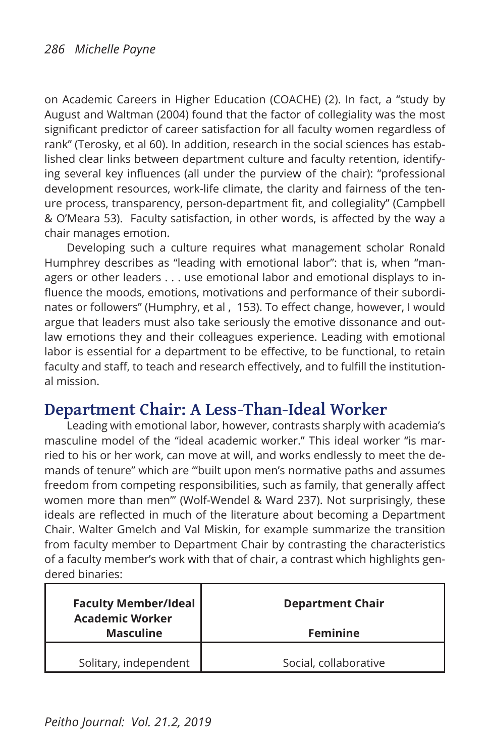on Academic Careers in Higher Education (COACHE) (2). In fact, a "study by August and Waltman (2004) found that the factor of collegiality was the most significant predictor of career satisfaction for all faculty women regardless of rank" (Terosky, et al 60). In addition, research in the social sciences has established clear links between department culture and faculty retention, identifying several key influences (all under the purview of the chair): "professional development resources, work-life climate, the clarity and fairness of the tenure process, transparency, person-department fit, and collegiality" (Campbell & O'Meara 53). Faculty satisfaction, in other words, is affected by the way a chair manages emotion.

Developing such a culture requires what management scholar Ronald Humphrey describes as "leading with emotional labor": that is, when "managers or other leaders . . . use emotional labor and emotional displays to influence the moods, emotions, motivations and performance of their subordinates or followers" (Humphry, et al , 153). To effect change, however, I would argue that leaders must also take seriously the emotive dissonance and outlaw emotions they and their colleagues experience. Leading with emotional labor is essential for a department to be effective, to be functional, to retain faculty and staff, to teach and research effectively, and to fulfill the institutional mission.

### **Department Chair: A Less-Than-Ideal Worker**

Leading with emotional labor, however, contrasts sharply with academia's masculine model of the "ideal academic worker." This ideal worker "is married to his or her work, can move at will, and works endlessly to meet the demands of tenure" which are "'built upon men's normative paths and assumes freedom from competing responsibilities, such as family, that generally affect women more than men'" (Wolf-Wendel & Ward 237). Not surprisingly, these ideals are reflected in much of the literature about becoming a Department Chair. Walter Gmelch and Val Miskin, for example summarize the transition from faculty member to Department Chair by contrasting the characteristics of a faculty member's work with that of chair, a contrast which highlights gendered binaries:

| <b>Faculty Member/Ideal</b><br><b>Academic Worker</b> | <b>Department Chair</b> |
|-------------------------------------------------------|-------------------------|
| <b>Masculine</b>                                      | <b>Feminine</b>         |
| Solitary, independent                                 | Social, collaborative   |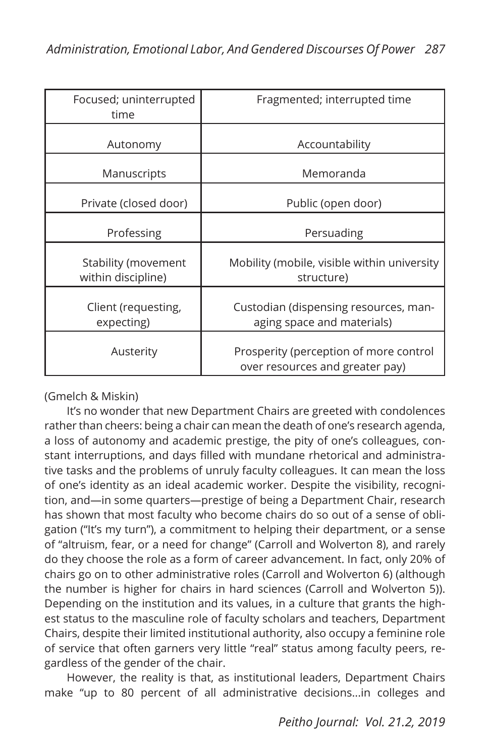| Focused; uninterrupted<br>time            | Fragmented; interrupted time                                              |
|-------------------------------------------|---------------------------------------------------------------------------|
| Autonomy                                  | Accountability                                                            |
| Manuscripts                               | Memoranda                                                                 |
| Private (closed door)                     | Public (open door)                                                        |
| Professing                                | Persuading                                                                |
| Stability (movement<br>within discipline) | Mobility (mobile, visible within university<br>structure)                 |
| Client (requesting,<br>expecting)         | Custodian (dispensing resources, man-<br>aging space and materials)       |
| Austerity                                 | Prosperity (perception of more control<br>over resources and greater pay) |

#### (Gmelch & Miskin)

It's no wonder that new Department Chairs are greeted with condolences rather than cheers: being a chair can mean the death of one's research agenda, a loss of autonomy and academic prestige, the pity of one's colleagues, constant interruptions, and days filled with mundane rhetorical and administrative tasks and the problems of unruly faculty colleagues. It can mean the loss of one's identity as an ideal academic worker. Despite the visibility, recognition, and—in some quarters—prestige of being a Department Chair, research has shown that most faculty who become chairs do so out of a sense of obligation ("It's my turn"), a commitment to helping their department, or a sense of "altruism, fear, or a need for change" (Carroll and Wolverton 8), and rarely do they choose the role as a form of career advancement. In fact, only 20% of chairs go on to other administrative roles (Carroll and Wolverton 6) (although the number is higher for chairs in hard sciences (Carroll and Wolverton 5)). Depending on the institution and its values, in a culture that grants the highest status to the masculine role of faculty scholars and teachers, Department Chairs, despite their limited institutional authority, also occupy a feminine role of service that often garners very little "real" status among faculty peers, regardless of the gender of the chair.

However, the reality is that, as institutional leaders, Department Chairs make "up to 80 percent of all administrative decisions...in colleges and

*Peitho Journal: Vol. 21.2, 2019*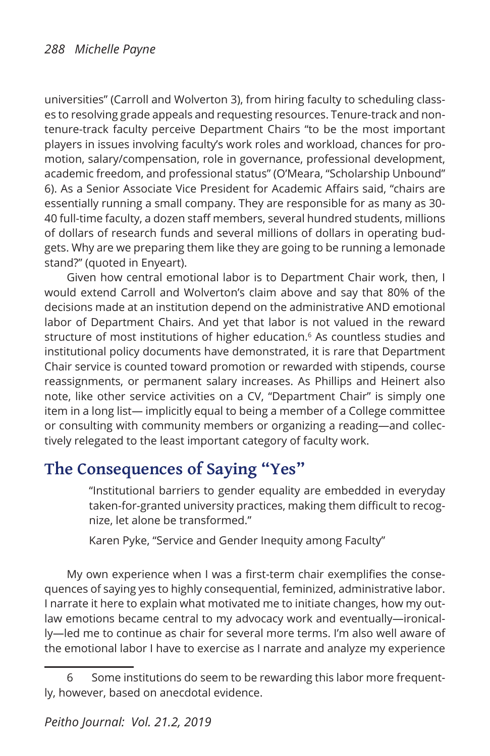universities" (Carroll and Wolverton 3), from hiring faculty to scheduling classes to resolving grade appeals and requesting resources. Tenure-track and nontenure-track faculty perceive Department Chairs "to be the most important players in issues involving faculty's work roles and workload, chances for promotion, salary/compensation, role in governance, professional development, academic freedom, and professional status" (O'Meara, "Scholarship Unbound" 6). As a Senior Associate Vice President for Academic Affairs said, "chairs are essentially running a small company. They are responsible for as many as 30- 40 full-time faculty, a dozen staff members, several hundred students, millions of dollars of research funds and several millions of dollars in operating budgets. Why are we preparing them like they are going to be running a lemonade stand?" (quoted in Enyeart).

Given how central emotional labor is to Department Chair work, then, I would extend Carroll and Wolverton's claim above and say that 80% of the decisions made at an institution depend on the administrative AND emotional labor of Department Chairs. And yet that labor is not valued in the reward structure of most institutions of higher education.<sup>6</sup> As countless studies and institutional policy documents have demonstrated, it is rare that Department Chair service is counted toward promotion or rewarded with stipends, course reassignments, or permanent salary increases. As Phillips and Heinert also note, like other service activities on a CV, "Department Chair" is simply one item in a long list— implicitly equal to being a member of a College committee or consulting with community members or organizing a reading—and collectively relegated to the least important category of faculty work.

### **The Consequences of Saying "Yes"**

"Institutional barriers to gender equality are embedded in everyday taken-for-granted university practices, making them difficult to recognize, let alone be transformed."

Karen Pyke, "Service and Gender Inequity among Faculty"

My own experience when I was a first-term chair exemplifies the consequences of saying yes to highly consequential, feminized, administrative labor. I narrate it here to explain what motivated me to initiate changes, how my outlaw emotions became central to my advocacy work and eventually—ironically—led me to continue as chair for several more terms. I'm also well aware of the emotional labor I have to exercise as I narrate and analyze my experience

<sup>6</sup> Some institutions do seem to be rewarding this labor more frequently, however, based on anecdotal evidence.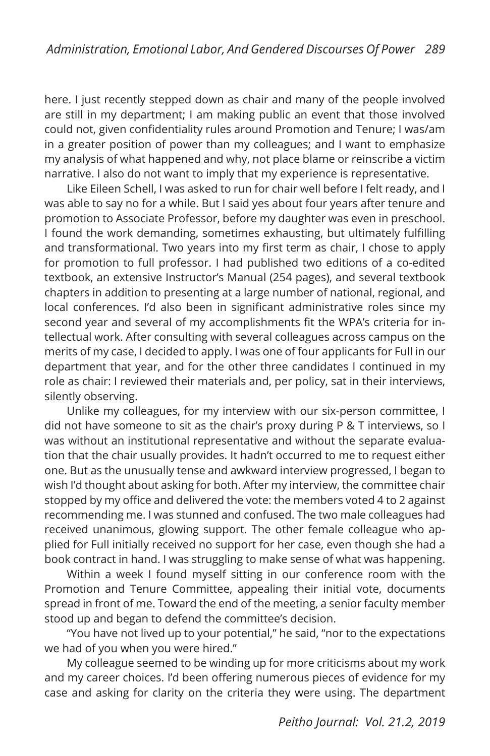here. I just recently stepped down as chair and many of the people involved are still in my department; I am making public an event that those involved could not, given confidentiality rules around Promotion and Tenure; I was/am in a greater position of power than my colleagues; and I want to emphasize my analysis of what happened and why, not place blame or reinscribe a victim narrative. I also do not want to imply that my experience is representative.

Like Eileen Schell, I was asked to run for chair well before I felt ready, and I was able to say no for a while. But I said yes about four years after tenure and promotion to Associate Professor, before my daughter was even in preschool. I found the work demanding, sometimes exhausting, but ultimately fulfilling and transformational. Two years into my first term as chair, I chose to apply for promotion to full professor. I had published two editions of a co-edited textbook, an extensive Instructor's Manual (254 pages), and several textbook chapters in addition to presenting at a large number of national, regional, and local conferences. I'd also been in significant administrative roles since my second year and several of my accomplishments fit the WPA's criteria for intellectual work. After consulting with several colleagues across campus on the merits of my case, I decided to apply. I was one of four applicants for Full in our department that year, and for the other three candidates I continued in my role as chair: I reviewed their materials and, per policy, sat in their interviews, silently observing.

Unlike my colleagues, for my interview with our six-person committee, I did not have someone to sit as the chair's proxy during P & T interviews, so I was without an institutional representative and without the separate evaluation that the chair usually provides. It hadn't occurred to me to request either one. But as the unusually tense and awkward interview progressed, I began to wish I'd thought about asking for both. After my interview, the committee chair stopped by my office and delivered the vote: the members voted 4 to 2 against recommending me. I was stunned and confused. The two male colleagues had received unanimous, glowing support. The other female colleague who applied for Full initially received no support for her case, even though she had a book contract in hand. I was struggling to make sense of what was happening.

Within a week I found myself sitting in our conference room with the Promotion and Tenure Committee, appealing their initial vote, documents spread in front of me. Toward the end of the meeting, a senior faculty member stood up and began to defend the committee's decision.

"You have not lived up to your potential," he said, "nor to the expectations we had of you when you were hired."

My colleague seemed to be winding up for more criticisms about my work and my career choices. I'd been offering numerous pieces of evidence for my case and asking for clarity on the criteria they were using. The department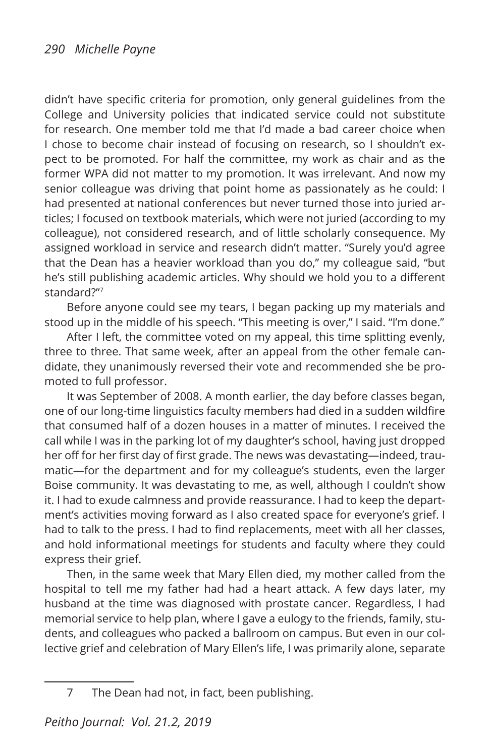didn't have specific criteria for promotion, only general guidelines from the College and University policies that indicated service could not substitute for research. One member told me that I'd made a bad career choice when I chose to become chair instead of focusing on research, so I shouldn't expect to be promoted. For half the committee, my work as chair and as the former WPA did not matter to my promotion. It was irrelevant. And now my senior colleague was driving that point home as passionately as he could: I had presented at national conferences but never turned those into juried articles; I focused on textbook materials, which were not juried (according to my colleague), not considered research, and of little scholarly consequence. My assigned workload in service and research didn't matter. "Surely you'd agree that the Dean has a heavier workload than you do," my colleague said, "but he's still publishing academic articles. Why should we hold you to a different standard?"7

Before anyone could see my tears, I began packing up my materials and stood up in the middle of his speech. "This meeting is over," I said. "I'm done."

After I left, the committee voted on my appeal, this time splitting evenly, three to three. That same week, after an appeal from the other female candidate, they unanimously reversed their vote and recommended she be promoted to full professor.

It was September of 2008. A month earlier, the day before classes began, one of our long-time linguistics faculty members had died in a sudden wildfire that consumed half of a dozen houses in a matter of minutes. I received the call while I was in the parking lot of my daughter's school, having just dropped her off for her first day of first grade. The news was devastating—indeed, traumatic—for the department and for my colleague's students, even the larger Boise community. It was devastating to me, as well, although I couldn't show it. I had to exude calmness and provide reassurance. I had to keep the department's activities moving forward as I also created space for everyone's grief. I had to talk to the press. I had to find replacements, meet with all her classes, and hold informational meetings for students and faculty where they could express their grief.

Then, in the same week that Mary Ellen died, my mother called from the hospital to tell me my father had had a heart attack. A few days later, my husband at the time was diagnosed with prostate cancer. Regardless, I had memorial service to help plan, where I gave a eulogy to the friends, family, students, and colleagues who packed a ballroom on campus. But even in our collective grief and celebration of Mary Ellen's life, I was primarily alone, separate

<sup>7</sup> The Dean had not, in fact, been publishing.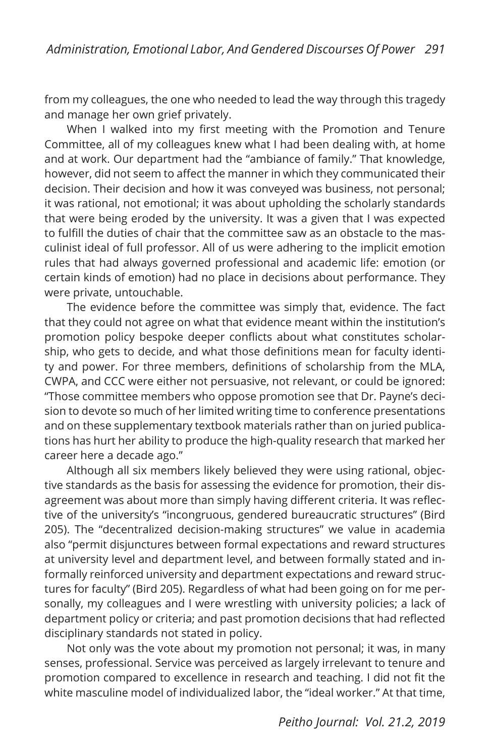from my colleagues, the one who needed to lead the way through this tragedy and manage her own grief privately.

When I walked into my first meeting with the Promotion and Tenure Committee, all of my colleagues knew what I had been dealing with, at home and at work. Our department had the "ambiance of family." That knowledge, however, did not seem to affect the manner in which they communicated their decision. Their decision and how it was conveyed was business, not personal; it was rational, not emotional; it was about upholding the scholarly standards that were being eroded by the university. It was a given that I was expected to fulfill the duties of chair that the committee saw as an obstacle to the masculinist ideal of full professor. All of us were adhering to the implicit emotion rules that had always governed professional and academic life: emotion (or certain kinds of emotion) had no place in decisions about performance. They were private, untouchable.

The evidence before the committee was simply that, evidence. The fact that they could not agree on what that evidence meant within the institution's promotion policy bespoke deeper conflicts about what constitutes scholarship, who gets to decide, and what those definitions mean for faculty identity and power. For three members, definitions of scholarship from the MLA, CWPA, and CCC were either not persuasive, not relevant, or could be ignored: "Those committee members who oppose promotion see that Dr. Payne's decision to devote so much of her limited writing time to conference presentations and on these supplementary textbook materials rather than on juried publications has hurt her ability to produce the high-quality research that marked her career here a decade ago."

Although all six members likely believed they were using rational, objective standards as the basis for assessing the evidence for promotion, their disagreement was about more than simply having different criteria. It was reflective of the university's "incongruous, gendered bureaucratic structures" (Bird 205). The "decentralized decision-making structures" we value in academia also "permit disjunctures between formal expectations and reward structures at university level and department level, and between formally stated and informally reinforced university and department expectations and reward structures for faculty" (Bird 205). Regardless of what had been going on for me personally, my colleagues and I were wrestling with university policies; a lack of department policy or criteria; and past promotion decisions that had reflected disciplinary standards not stated in policy.

Not only was the vote about my promotion not personal; it was, in many senses, professional. Service was perceived as largely irrelevant to tenure and promotion compared to excellence in research and teaching. I did not fit the white masculine model of individualized labor, the "ideal worker." At that time,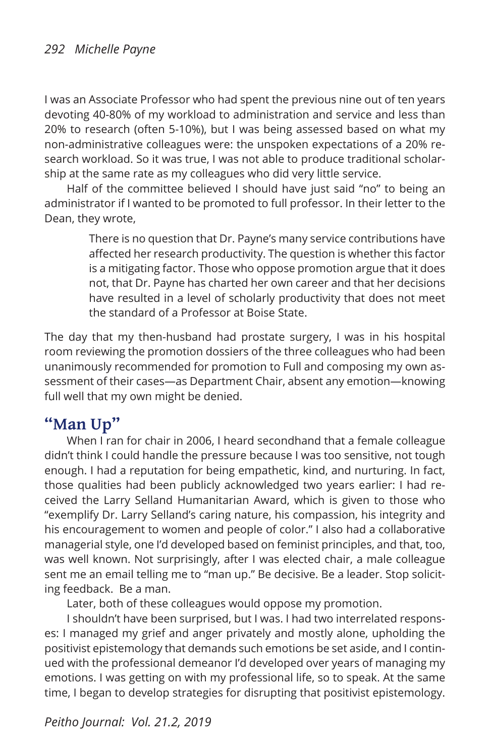I was an Associate Professor who had spent the previous nine out of ten years devoting 40-80% of my workload to administration and service and less than 20% to research (often 5-10%), but I was being assessed based on what my non-administrative colleagues were: the unspoken expectations of a 20% research workload. So it was true, I was not able to produce traditional scholarship at the same rate as my colleagues who did very little service.

Half of the committee believed I should have just said "no" to being an administrator if I wanted to be promoted to full professor. In their letter to the Dean, they wrote,

> There is no question that Dr. Payne's many service contributions have affected her research productivity. The question is whether this factor is a mitigating factor. Those who oppose promotion argue that it does not, that Dr. Payne has charted her own career and that her decisions have resulted in a level of scholarly productivity that does not meet the standard of a Professor at Boise State.

The day that my then-husband had prostate surgery, I was in his hospital room reviewing the promotion dossiers of the three colleagues who had been unanimously recommended for promotion to Full and composing my own assessment of their cases—as Department Chair, absent any emotion—knowing full well that my own might be denied.

### **"Man Up"**

When I ran for chair in 2006, I heard secondhand that a female colleague didn't think I could handle the pressure because I was too sensitive, not tough enough. I had a reputation for being empathetic, kind, and nurturing. In fact, those qualities had been publicly acknowledged two years earlier: I had received the Larry Selland Humanitarian Award, which is given to those who "exemplify Dr. Larry Selland's caring nature, his compassion, his integrity and his encouragement to women and people of color." I also had a collaborative managerial style, one I'd developed based on feminist principles, and that, too, was well known. Not surprisingly, after I was elected chair, a male colleague sent me an email telling me to "man up." Be decisive. Be a leader. Stop soliciting feedback. Be a man.

Later, both of these colleagues would oppose my promotion.

I shouldn't have been surprised, but I was. I had two interrelated responses: I managed my grief and anger privately and mostly alone, upholding the positivist epistemology that demands such emotions be set aside, and I continued with the professional demeanor I'd developed over years of managing my emotions. I was getting on with my professional life, so to speak. At the same time, I began to develop strategies for disrupting that positivist epistemology.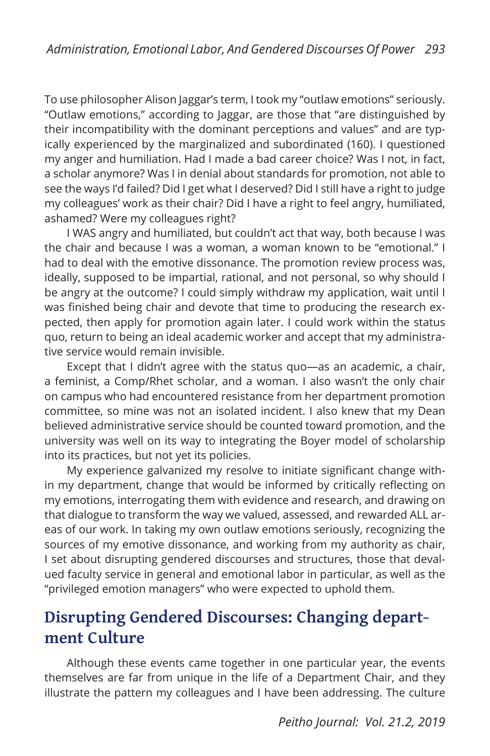To use philosopher Alison Jaggar's term, I took my "outlaw emotions" seriously. "Outlaw emotions," according to Jaggar, are those that "are distinguished by their incompatibility with the dominant perceptions and values" and are typically experienced by the marginalized and subordinated (160). I questioned my anger and humiliation. Had I made a bad career choice? Was I not, in fact, a scholar anymore? Was I in denial about standards for promotion, not able to see the ways I'd failed? Did I get what I deserved? Did I still have a right to judge my colleagues' work as their chair? Did I have a right to feel angry, humiliated, ashamed? Were my colleagues right?

I WAS angry and humiliated, but couldn't act that way, both because I was the chair and because I was a woman, a woman known to be "emotional." I had to deal with the emotive dissonance. The promotion review process was, ideally, supposed to be impartial, rational, and not personal, so why should I be angry at the outcome? I could simply withdraw my application, wait until I was finished being chair and devote that time to producing the research expected, then apply for promotion again later. I could work within the status quo, return to being an ideal academic worker and accept that my administrative service would remain invisible.

Except that I didn't agree with the status quo—as an academic, a chair, a feminist, a Comp/Rhet scholar, and a woman. I also wasn't the only chair on campus who had encountered resistance from her department promotion committee, so mine was not an isolated incident. I also knew that my Dean believed administrative service should be counted toward promotion, and the university was well on its way to integrating the Boyer model of scholarship into its practices, but not yet its policies.

My experience galvanized my resolve to initiate significant change within my department, change that would be informed by critically reflecting on my emotions, interrogating them with evidence and research, and drawing on that dialogue to transform the way we valued, assessed, and rewarded ALL areas of our work. In taking my own outlaw emotions seriously, recognizing the sources of my emotive dissonance, and working from my authority as chair, I set about disrupting gendered discourses and structures, those that devalued faculty service in general and emotional labor in particular, as well as the "privileged emotion managers" who were expected to uphold them.

### **Disrupting Gendered Discourses: Changing department Culture**

Although these events came together in one particular year, the events themselves are far from unique in the life of a Department Chair, and they illustrate the pattern my colleagues and I have been addressing. The culture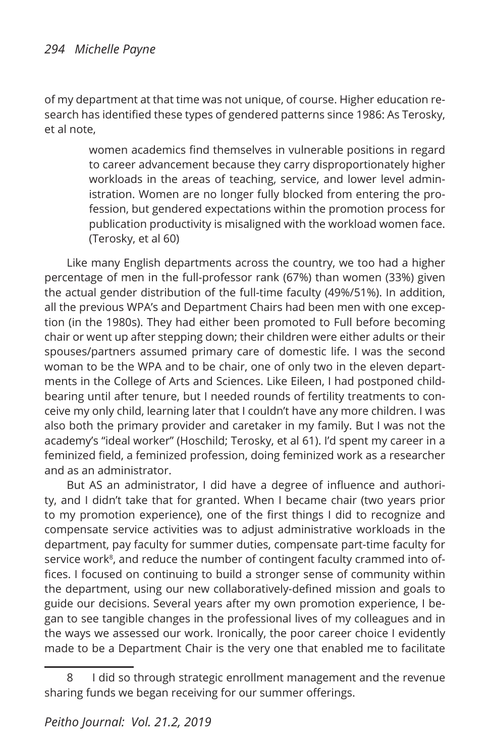of my department at that time was not unique, of course. Higher education research has identified these types of gendered patterns since 1986: As Terosky, et al note,

> women academics find themselves in vulnerable positions in regard to career advancement because they carry disproportionately higher workloads in the areas of teaching, service, and lower level administration. Women are no longer fully blocked from entering the profession, but gendered expectations within the promotion process for publication productivity is misaligned with the workload women face. (Terosky, et al 60)

Like many English departments across the country, we too had a higher percentage of men in the full-professor rank (67%) than women (33%) given the actual gender distribution of the full-time faculty (49%/51%). In addition, all the previous WPA's and Department Chairs had been men with one exception (in the 1980s). They had either been promoted to Full before becoming chair or went up after stepping down; their children were either adults or their spouses/partners assumed primary care of domestic life. I was the second woman to be the WPA and to be chair, one of only two in the eleven departments in the College of Arts and Sciences. Like Eileen, I had postponed childbearing until after tenure, but I needed rounds of fertility treatments to conceive my only child, learning later that I couldn't have any more children. I was also both the primary provider and caretaker in my family. But I was not the academy's "ideal worker" (Hoschild; Terosky, et al 61). I'd spent my career in a feminized field, a feminized profession, doing feminized work as a researcher and as an administrator.

But AS an administrator, I did have a degree of influence and authority, and I didn't take that for granted. When I became chair (two years prior to my promotion experience), one of the first things I did to recognize and compensate service activities was to adjust administrative workloads in the department, pay faculty for summer duties, compensate part-time faculty for service work<sup>8</sup>, and reduce the number of contingent faculty crammed into offices. I focused on continuing to build a stronger sense of community within the department, using our new collaboratively-defined mission and goals to guide our decisions. Several years after my own promotion experience, I began to see tangible changes in the professional lives of my colleagues and in the ways we assessed our work. Ironically, the poor career choice I evidently made to be a Department Chair is the very one that enabled me to facilitate

<sup>8</sup> I did so through strategic enrollment management and the revenue sharing funds we began receiving for our summer offerings.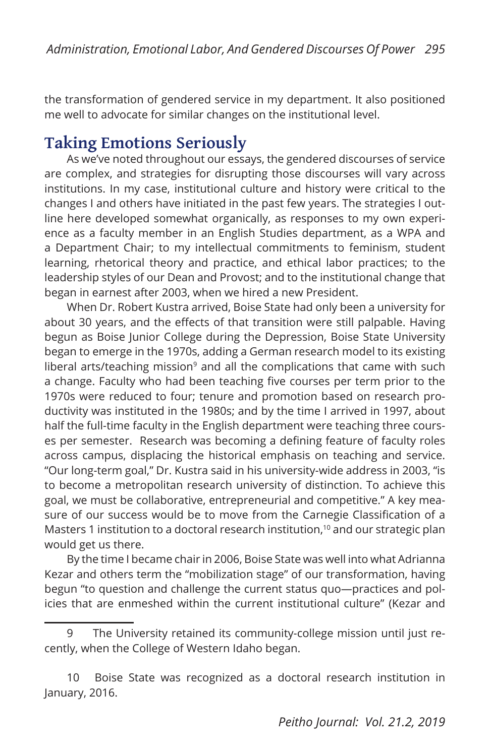the transformation of gendered service in my department. It also positioned me well to advocate for similar changes on the institutional level.

### **Taking Emotions Seriously**

As we've noted throughout our essays, the gendered discourses of service are complex, and strategies for disrupting those discourses will vary across institutions. In my case, institutional culture and history were critical to the changes I and others have initiated in the past few years. The strategies I outline here developed somewhat organically, as responses to my own experience as a faculty member in an English Studies department, as a WPA and a Department Chair; to my intellectual commitments to feminism, student learning, rhetorical theory and practice, and ethical labor practices; to the leadership styles of our Dean and Provost; and to the institutional change that began in earnest after 2003, when we hired a new President.

When Dr. Robert Kustra arrived, Boise State had only been a university for about 30 years, and the effects of that transition were still palpable. Having begun as Boise Junior College during the Depression, Boise State University began to emerge in the 1970s, adding a German research model to its existing liberal arts/teaching mission $9$  and all the complications that came with such a change. Faculty who had been teaching five courses per term prior to the 1970s were reduced to four; tenure and promotion based on research productivity was instituted in the 1980s; and by the time I arrived in 1997, about half the full-time faculty in the English department were teaching three courses per semester. Research was becoming a defining feature of faculty roles across campus, displacing the historical emphasis on teaching and service. "Our long-term goal," Dr. Kustra said in his university-wide address in 2003, "is to become a metropolitan research university of distinction. To achieve this goal, we must be collaborative, entrepreneurial and competitive." A key measure of our success would be to move from the Carnegie Classification of a Masters 1 institution to a doctoral research institution,<sup>10</sup> and our strategic plan would get us there.

By the time I became chair in 2006, Boise State was well into what Adrianna Kezar and others term the "mobilization stage" of our transformation, having begun "to question and challenge the current status quo—practices and policies that are enmeshed within the current institutional culture" (Kezar and

<sup>9</sup> The University retained its community-college mission until just recently, when the College of Western Idaho began.

<sup>10</sup> Boise State was recognized as a doctoral research institution in January, 2016.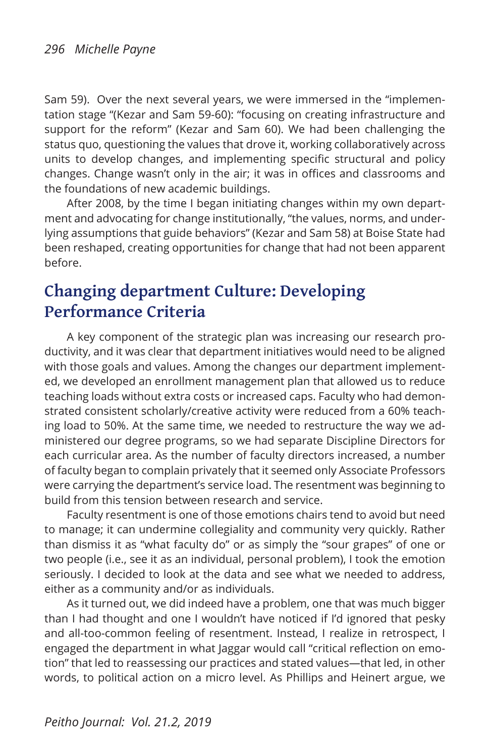Sam 59). Over the next several years, we were immersed in the "implementation stage "(Kezar and Sam 59-60): "focusing on creating infrastructure and support for the reform" (Kezar and Sam 60). We had been challenging the status quo, questioning the values that drove it, working collaboratively across units to develop changes, and implementing specific structural and policy changes. Change wasn't only in the air; it was in offices and classrooms and the foundations of new academic buildings.

After 2008, by the time I began initiating changes within my own department and advocating for change institutionally, "the values, norms, and underlying assumptions that guide behaviors" (Kezar and Sam 58) at Boise State had been reshaped, creating opportunities for change that had not been apparent before.

### **Changing department Culture: Developing Performance Criteria**

A key component of the strategic plan was increasing our research productivity, and it was clear that department initiatives would need to be aligned with those goals and values. Among the changes our department implemented, we developed an enrollment management plan that allowed us to reduce teaching loads without extra costs or increased caps. Faculty who had demonstrated consistent scholarly/creative activity were reduced from a 60% teaching load to 50%. At the same time, we needed to restructure the way we administered our degree programs, so we had separate Discipline Directors for each curricular area. As the number of faculty directors increased, a number of faculty began to complain privately that it seemed only Associate Professors were carrying the department's service load. The resentment was beginning to build from this tension between research and service.

Faculty resentment is one of those emotions chairs tend to avoid but need to manage; it can undermine collegiality and community very quickly. Rather than dismiss it as "what faculty do" or as simply the "sour grapes" of one or two people (i.e., see it as an individual, personal problem), I took the emotion seriously. I decided to look at the data and see what we needed to address, either as a community and/or as individuals.

As it turned out, we did indeed have a problem, one that was much bigger than I had thought and one I wouldn't have noticed if I'd ignored that pesky and all-too-common feeling of resentment. Instead, I realize in retrospect, I engaged the department in what Jaggar would call "critical reflection on emotion" that led to reassessing our practices and stated values—that led, in other words, to political action on a micro level. As Phillips and Heinert argue, we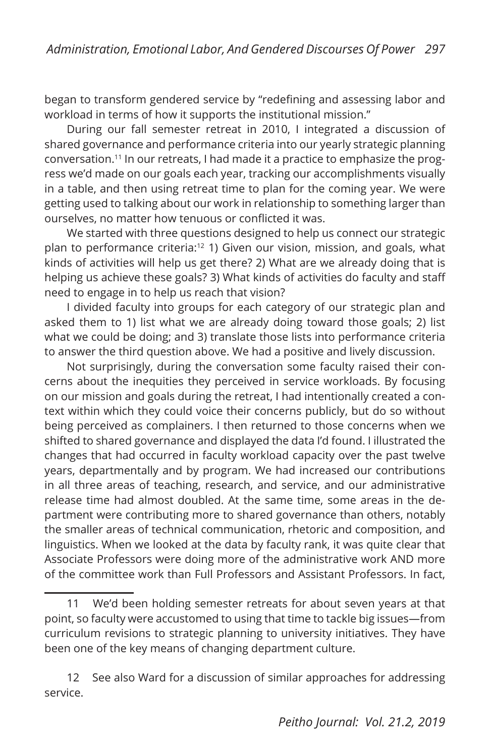began to transform gendered service by "redefining and assessing labor and workload in terms of how it supports the institutional mission."

During our fall semester retreat in 2010, I integrated a discussion of shared governance and performance criteria into our yearly strategic planning conversation.11 In our retreats, I had made it a practice to emphasize the progress we'd made on our goals each year, tracking our accomplishments visually in a table, and then using retreat time to plan for the coming year. We were getting used to talking about our work in relationship to something larger than ourselves, no matter how tenuous or conflicted it was.

We started with three questions designed to help us connect our strategic plan to performance criteria:12 1) Given our vision, mission, and goals, what kinds of activities will help us get there? 2) What are we already doing that is helping us achieve these goals? 3) What kinds of activities do faculty and staff need to engage in to help us reach that vision?

I divided faculty into groups for each category of our strategic plan and asked them to 1) list what we are already doing toward those goals; 2) list what we could be doing; and 3) translate those lists into performance criteria to answer the third question above. We had a positive and lively discussion.

Not surprisingly, during the conversation some faculty raised their concerns about the inequities they perceived in service workloads. By focusing on our mission and goals during the retreat, I had intentionally created a context within which they could voice their concerns publicly, but do so without being perceived as complainers. I then returned to those concerns when we shifted to shared governance and displayed the data I'd found. I illustrated the changes that had occurred in faculty workload capacity over the past twelve years, departmentally and by program. We had increased our contributions in all three areas of teaching, research, and service, and our administrative release time had almost doubled. At the same time, some areas in the department were contributing more to shared governance than others, notably the smaller areas of technical communication, rhetoric and composition, and linguistics. When we looked at the data by faculty rank, it was quite clear that Associate Professors were doing more of the administrative work AND more of the committee work than Full Professors and Assistant Professors. In fact,

<sup>11</sup> We'd been holding semester retreats for about seven years at that point, so faculty were accustomed to using that time to tackle big issues—from curriculum revisions to strategic planning to university initiatives. They have been one of the key means of changing department culture.

<sup>12</sup> See also Ward for a discussion of similar approaches for addressing service.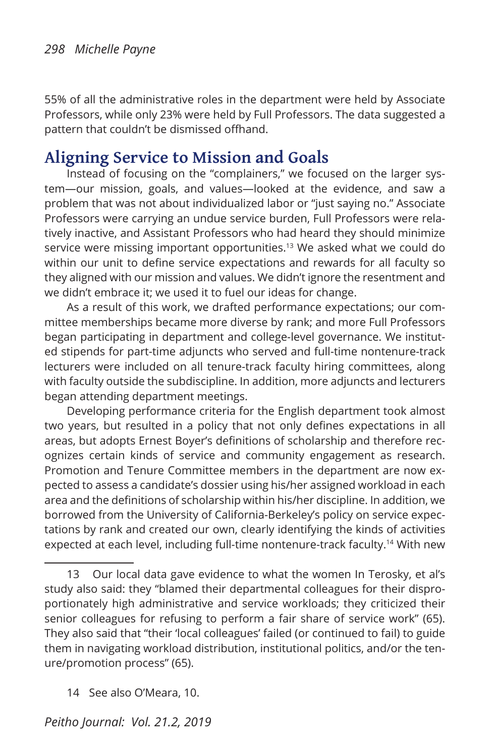55% of all the administrative roles in the department were held by Associate Professors, while only 23% were held by Full Professors. The data suggested a pattern that couldn't be dismissed offhand.

### **Aligning Service to Mission and Goals**

Instead of focusing on the "complainers," we focused on the larger system—our mission, goals, and values—looked at the evidence, and saw a problem that was not about individualized labor or "just saying no." Associate Professors were carrying an undue service burden, Full Professors were relatively inactive, and Assistant Professors who had heard they should minimize service were missing important opportunities.<sup>13</sup> We asked what we could do within our unit to define service expectations and rewards for all faculty so they aligned with our mission and values. We didn't ignore the resentment and we didn't embrace it; we used it to fuel our ideas for change.

As a result of this work, we drafted performance expectations; our committee memberships became more diverse by rank; and more Full Professors began participating in department and college-level governance. We instituted stipends for part-time adjuncts who served and full-time nontenure-track lecturers were included on all tenure-track faculty hiring committees, along with faculty outside the subdiscipline. In addition, more adjuncts and lecturers began attending department meetings.

Developing performance criteria for the English department took almost two years, but resulted in a policy that not only defines expectations in all areas, but adopts Ernest Boyer's definitions of scholarship and therefore recognizes certain kinds of service and community engagement as research. Promotion and Tenure Committee members in the department are now expected to assess a candidate's dossier using his/her assigned workload in each area and the definitions of scholarship within his/her discipline. In addition, we borrowed from the University of California-Berkeley's policy on service expectations by rank and created our own, clearly identifying the kinds of activities expected at each level, including full-time nontenure-track faculty.<sup>14</sup> With new

14 See also O'Meara, 10.

<sup>13</sup> Our local data gave evidence to what the women In Terosky, et al's study also said: they "blamed their departmental colleagues for their disproportionately high administrative and service workloads; they criticized their senior colleagues for refusing to perform a fair share of service work" (65). They also said that "their 'local colleagues' failed (or continued to fail) to guide them in navigating workload distribution, institutional politics, and/or the tenure/promotion process" (65).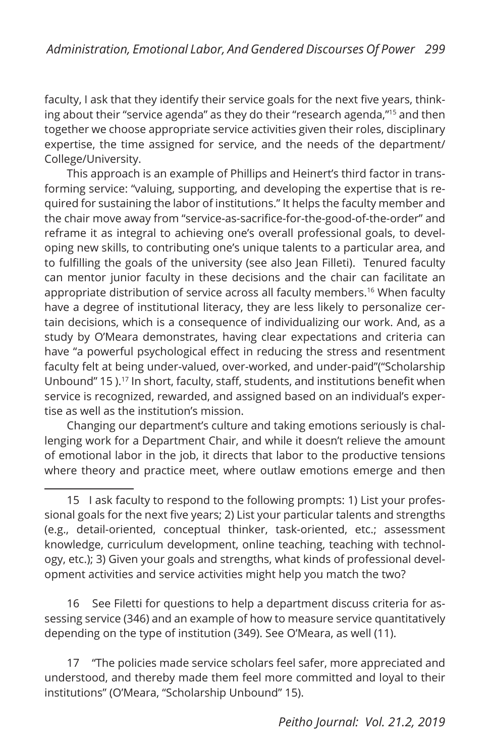faculty, I ask that they identify their service goals for the next five years, thinking about their "service agenda" as they do their "research agenda,"15 and then together we choose appropriate service activities given their roles, disciplinary expertise, the time assigned for service, and the needs of the department/ College/University.

This approach is an example of Phillips and Heinert's third factor in transforming service: "valuing, supporting, and developing the expertise that is required for sustaining the labor of institutions." It helps the faculty member and the chair move away from "service-as-sacrifice-for-the-good-of-the-order" and reframe it as integral to achieving one's overall professional goals, to developing new skills, to contributing one's unique talents to a particular area, and to fulfilling the goals of the university (see also Jean Filleti). Tenured faculty can mentor junior faculty in these decisions and the chair can facilitate an appropriate distribution of service across all faculty members.<sup>16</sup> When faculty have a degree of institutional literacy, they are less likely to personalize certain decisions, which is a consequence of individualizing our work. And, as a study by O'Meara demonstrates, having clear expectations and criteria can have "a powerful psychological effect in reducing the stress and resentment faculty felt at being under-valued, over-worked, and under-paid"("Scholarship Unbound" 15 ).<sup>17</sup> In short, faculty, staff, students, and institutions benefit when service is recognized, rewarded, and assigned based on an individual's expertise as well as the institution's mission.

Changing our department's culture and taking emotions seriously is challenging work for a Department Chair, and while it doesn't relieve the amount of emotional labor in the job, it directs that labor to the productive tensions where theory and practice meet, where outlaw emotions emerge and then

16 See Filetti for questions to help a department discuss criteria for assessing service (346) and an example of how to measure service quantitatively depending on the type of institution (349). See O'Meara, as well (11).

17 "The policies made service scholars feel safer, more appreciated and understood, and thereby made them feel more committed and loyal to their institutions" (O'Meara, "Scholarship Unbound" 15).

<sup>15</sup> I ask faculty to respond to the following prompts: 1) List your professional goals for the next five years; 2) List your particular talents and strengths (e.g., detail-oriented, conceptual thinker, task-oriented, etc.; assessment knowledge, curriculum development, online teaching, teaching with technology, etc.); 3) Given your goals and strengths, what kinds of professional development activities and service activities might help you match the two?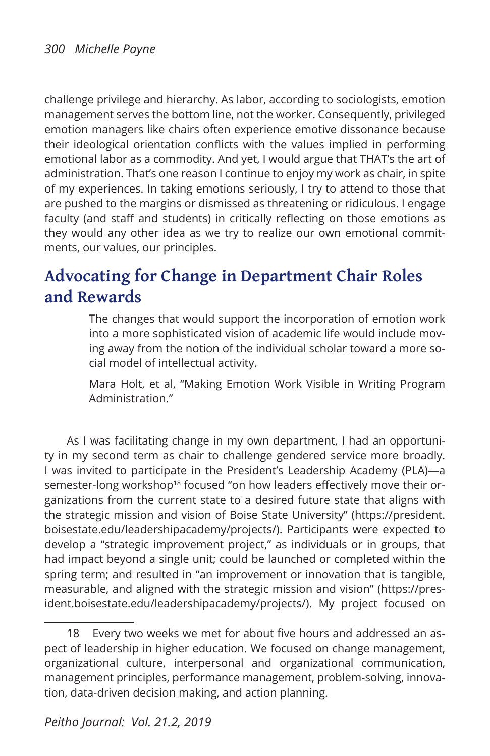challenge privilege and hierarchy. As labor, according to sociologists, emotion management serves the bottom line, not the worker. Consequently, privileged emotion managers like chairs often experience emotive dissonance because their ideological orientation conflicts with the values implied in performing emotional labor as a commodity. And yet, I would argue that THAT's the art of administration. That's one reason I continue to enjoy my work as chair, in spite of my experiences. In taking emotions seriously, I try to attend to those that are pushed to the margins or dismissed as threatening or ridiculous. I engage faculty (and staff and students) in critically reflecting on those emotions as they would any other idea as we try to realize our own emotional commitments, our values, our principles.

### **Advocating for Change in Department Chair Roles and Rewards**

The changes that would support the incorporation of emotion work into a more sophisticated vision of academic life would include moving away from the notion of the individual scholar toward a more social model of intellectual activity.

Mara Holt, et al, "Making Emotion Work Visible in Writing Program Administration."

As I was facilitating change in my own department, I had an opportunity in my second term as chair to challenge gendered service more broadly. I was invited to participate in the President's Leadership Academy (PLA)—a semester-long workshop<sup>18</sup> focused "on how leaders effectively move their organizations from the current state to a desired future state that aligns with the strategic mission and vision of Boise State University" (https://president. boisestate.edu/leadershipacademy/projects/). Participants were expected to develop a "strategic improvement project," as individuals or in groups, that had impact beyond a single unit; could be launched or completed within the spring term; and resulted in "an improvement or innovation that is tangible, measurable, and aligned with the strategic mission and vision" (https://president.boisestate.edu/leadershipacademy/projects/). My project focused on

<sup>18</sup> Every two weeks we met for about five hours and addressed an aspect of leadership in higher education. We focused on change management, organizational culture, interpersonal and organizational communication, management principles, performance management, problem-solving, innovation, data-driven decision making, and action planning.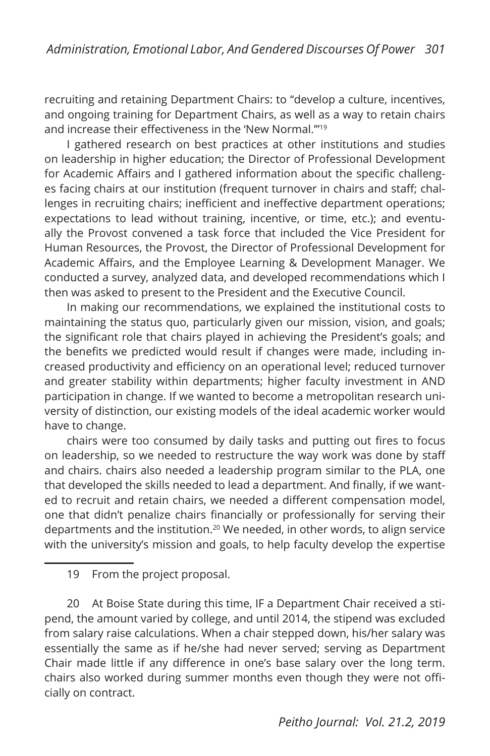recruiting and retaining Department Chairs: to "develop a culture, incentives, and ongoing training for Department Chairs, as well as a way to retain chairs and increase their effectiveness in the 'New Normal.'"<sup>19</sup>

I gathered research on best practices at other institutions and studies on leadership in higher education; the Director of Professional Development for Academic Affairs and I gathered information about the specific challenges facing chairs at our institution (frequent turnover in chairs and staff; challenges in recruiting chairs; inefficient and ineffective department operations; expectations to lead without training, incentive, or time, etc.); and eventually the Provost convened a task force that included the Vice President for Human Resources, the Provost, the Director of Professional Development for Academic Affairs, and the Employee Learning & Development Manager. We conducted a survey, analyzed data, and developed recommendations which I then was asked to present to the President and the Executive Council.

In making our recommendations, we explained the institutional costs to maintaining the status quo, particularly given our mission, vision, and goals; the significant role that chairs played in achieving the President's goals; and the benefits we predicted would result if changes were made, including increased productivity and efficiency on an operational level; reduced turnover and greater stability within departments; higher faculty investment in AND participation in change. If we wanted to become a metropolitan research university of distinction, our existing models of the ideal academic worker would have to change.

chairs were too consumed by daily tasks and putting out fires to focus on leadership, so we needed to restructure the way work was done by staff and chairs. chairs also needed a leadership program similar to the PLA, one that developed the skills needed to lead a department. And finally, if we wanted to recruit and retain chairs, we needed a different compensation model, one that didn't penalize chairs financially or professionally for serving their departments and the institution.<sup>20</sup> We needed, in other words, to align service with the university's mission and goals, to help faculty develop the expertise

20 At Boise State during this time, IF a Department Chair received a stipend, the amount varied by college, and until 2014, the stipend was excluded from salary raise calculations. When a chair stepped down, his/her salary was essentially the same as if he/she had never served; serving as Department Chair made little if any difference in one's base salary over the long term. chairs also worked during summer months even though they were not officially on contract.

<sup>19</sup> From the project proposal.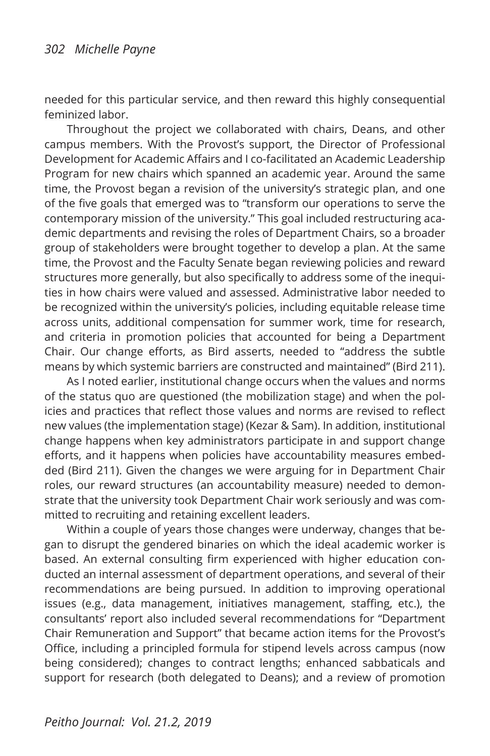needed for this particular service, and then reward this highly consequential feminized labor.

Throughout the project we collaborated with chairs, Deans, and other campus members. With the Provost's support, the Director of Professional Development for Academic Affairs and I co-facilitated an Academic Leadership Program for new chairs which spanned an academic year. Around the same time, the Provost began a revision of the university's strategic plan, and one of the five goals that emerged was to "transform our operations to serve the contemporary mission of the university." This goal included restructuring academic departments and revising the roles of Department Chairs, so a broader group of stakeholders were brought together to develop a plan. At the same time, the Provost and the Faculty Senate began reviewing policies and reward structures more generally, but also specifically to address some of the inequities in how chairs were valued and assessed. Administrative labor needed to be recognized within the university's policies, including equitable release time across units, additional compensation for summer work, time for research, and criteria in promotion policies that accounted for being a Department Chair. Our change efforts, as Bird asserts, needed to "address the subtle means by which systemic barriers are constructed and maintained" (Bird 211).

As I noted earlier, institutional change occurs when the values and norms of the status quo are questioned (the mobilization stage) and when the policies and practices that reflect those values and norms are revised to reflect new values (the implementation stage) (Kezar & Sam). In addition, institutional change happens when key administrators participate in and support change efforts, and it happens when policies have accountability measures embedded (Bird 211). Given the changes we were arguing for in Department Chair roles, our reward structures (an accountability measure) needed to demonstrate that the university took Department Chair work seriously and was committed to recruiting and retaining excellent leaders.

Within a couple of years those changes were underway, changes that began to disrupt the gendered binaries on which the ideal academic worker is based. An external consulting firm experienced with higher education conducted an internal assessment of department operations, and several of their recommendations are being pursued. In addition to improving operational issues (e.g., data management, initiatives management, staffing, etc.), the consultants' report also included several recommendations for "Department Chair Remuneration and Support" that became action items for the Provost's Office, including a principled formula for stipend levels across campus (now being considered); changes to contract lengths; enhanced sabbaticals and support for research (both delegated to Deans); and a review of promotion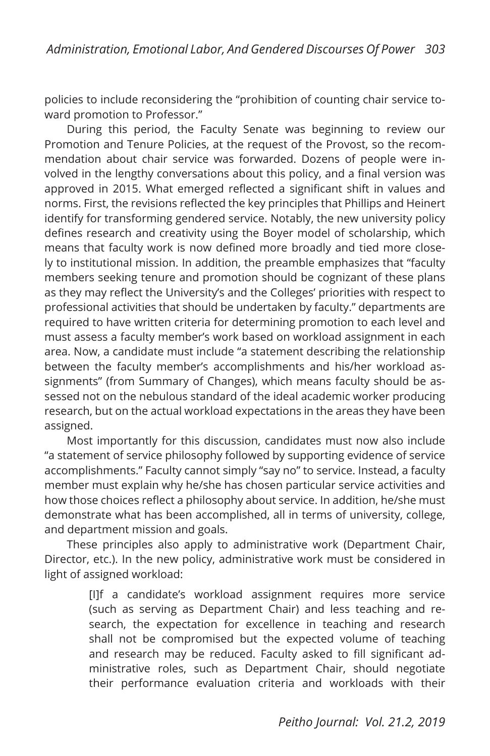policies to include reconsidering the "prohibition of counting chair service toward promotion to Professor."

During this period, the Faculty Senate was beginning to review our Promotion and Tenure Policies, at the request of the Provost, so the recommendation about chair service was forwarded. Dozens of people were involved in the lengthy conversations about this policy, and a final version was approved in 2015. What emerged reflected a significant shift in values and norms. First, the revisions reflected the key principles that Phillips and Heinert identify for transforming gendered service. Notably, the new university policy defines research and creativity using the Boyer model of scholarship, which means that faculty work is now defined more broadly and tied more closely to institutional mission. In addition, the preamble emphasizes that "faculty members seeking tenure and promotion should be cognizant of these plans as they may reflect the University's and the Colleges' priorities with respect to professional activities that should be undertaken by faculty." departments are required to have written criteria for determining promotion to each level and must assess a faculty member's work based on workload assignment in each area. Now, a candidate must include "a statement describing the relationship between the faculty member's accomplishments and his/her workload assignments" (from Summary of Changes), which means faculty should be assessed not on the nebulous standard of the ideal academic worker producing research, but on the actual workload expectations in the areas they have been assigned.

Most importantly for this discussion, candidates must now also include "a statement of service philosophy followed by supporting evidence of service accomplishments." Faculty cannot simply "say no" to service. Instead, a faculty member must explain why he/she has chosen particular service activities and how those choices reflect a philosophy about service. In addition, he/she must demonstrate what has been accomplished, all in terms of university, college, and department mission and goals.

These principles also apply to administrative work (Department Chair, Director, etc.). In the new policy, administrative work must be considered in light of assigned workload:

> [I]f a candidate's workload assignment requires more service (such as serving as Department Chair) and less teaching and research, the expectation for excellence in teaching and research shall not be compromised but the expected volume of teaching and research may be reduced. Faculty asked to fill significant administrative roles, such as Department Chair, should negotiate their performance evaluation criteria and workloads with their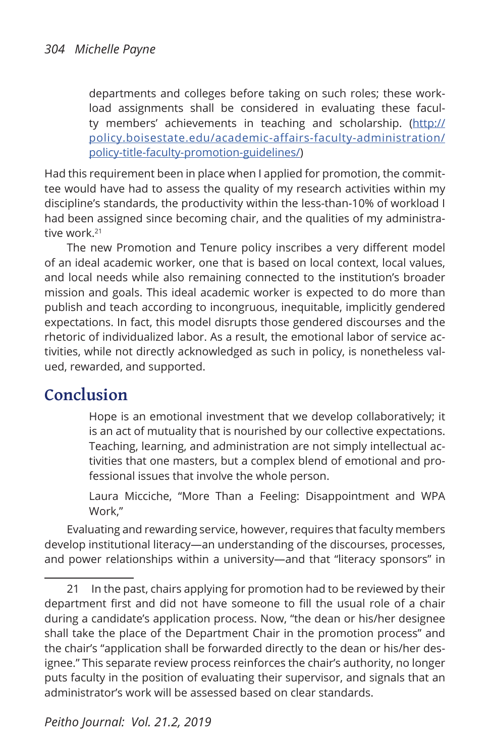departments and colleges before taking on such roles; these workload assignments shall be considered in evaluating these faculty members' achievements in teaching and scholarship. (http:// policy.boisestate.edu/academic-affairs-faculty-administration/ policy-title-faculty-promotion-guidelines/)

Had this requirement been in place when I applied for promotion, the committee would have had to assess the quality of my research activities within my discipline's standards, the productivity within the less-than-10% of workload I had been assigned since becoming chair, and the qualities of my administrative work.<sup>21</sup>

The new Promotion and Tenure policy inscribes a very different model of an ideal academic worker, one that is based on local context, local values, and local needs while also remaining connected to the institution's broader mission and goals. This ideal academic worker is expected to do more than publish and teach according to incongruous, inequitable, implicitly gendered expectations. In fact, this model disrupts those gendered discourses and the rhetoric of individualized labor. As a result, the emotional labor of service activities, while not directly acknowledged as such in policy, is nonetheless valued, rewarded, and supported.

### **Conclusion**

Hope is an emotional investment that we develop collaboratively; it is an act of mutuality that is nourished by our collective expectations. Teaching, learning, and administration are not simply intellectual activities that one masters, but a complex blend of emotional and professional issues that involve the whole person.

Laura Micciche, "More Than a Feeling: Disappointment and WPA Work,"

Evaluating and rewarding service, however, requires that faculty members develop institutional literacy—an understanding of the discourses, processes, and power relationships within a university—and that "literacy sponsors" in

<sup>21</sup> In the past, chairs applying for promotion had to be reviewed by their department first and did not have someone to fill the usual role of a chair during a candidate's application process. Now, "the dean or his/her designee shall take the place of the Department Chair in the promotion process" and the chair's "application shall be forwarded directly to the dean or his/her designee." This separate review process reinforces the chair's authority, no longer puts faculty in the position of evaluating their supervisor, and signals that an administrator's work will be assessed based on clear standards.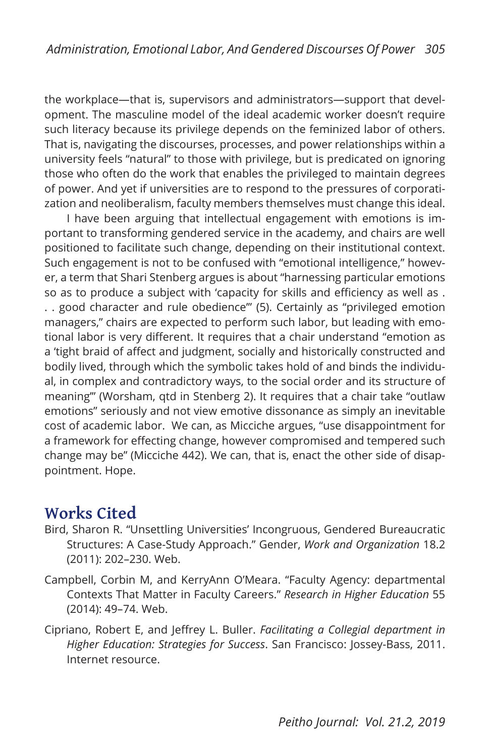the workplace—that is, supervisors and administrators—support that development. The masculine model of the ideal academic worker doesn't require such literacy because its privilege depends on the feminized labor of others. That is, navigating the discourses, processes, and power relationships within a university feels "natural" to those with privilege, but is predicated on ignoring those who often do the work that enables the privileged to maintain degrees of power. And yet if universities are to respond to the pressures of corporatization and neoliberalism, faculty members themselves must change this ideal.

I have been arguing that intellectual engagement with emotions is important to transforming gendered service in the academy, and chairs are well positioned to facilitate such change, depending on their institutional context. Such engagement is not to be confused with "emotional intelligence," however, a term that Shari Stenberg argues is about "harnessing particular emotions so as to produce a subject with 'capacity for skills and efficiency as well as . . . good character and rule obedience'" (5). Certainly as "privileged emotion managers," chairs are expected to perform such labor, but leading with emotional labor is very different. It requires that a chair understand "emotion as a 'tight braid of affect and judgment, socially and historically constructed and bodily lived, through which the symbolic takes hold of and binds the individual, in complex and contradictory ways, to the social order and its structure of meaning'" (Worsham, qtd in Stenberg 2). It requires that a chair take "outlaw emotions" seriously and not view emotive dissonance as simply an inevitable cost of academic labor. We can, as Micciche argues, "use disappointment for a framework for effecting change, however compromised and tempered such change may be" (Micciche 442). We can, that is, enact the other side of disappointment. Hope.

### **Works Cited**

- Bird, Sharon R. "Unsettling Universities' Incongruous, Gendered Bureaucratic Structures: A Case-Study Approach." Gender, *Work and Organization* 18.2 (2011): 202–230. Web.
- Campbell, Corbin M, and KerryAnn O'Meara. "Faculty Agency: departmental Contexts That Matter in Faculty Careers." *Research in Higher Education* 55 (2014): 49–74. Web.
- Cipriano, Robert E, and Jeffrey L. Buller. *Facilitating a Collegial department in Higher Education: Strategies for Success*. San Francisco: Jossey-Bass, 2011. Internet resource.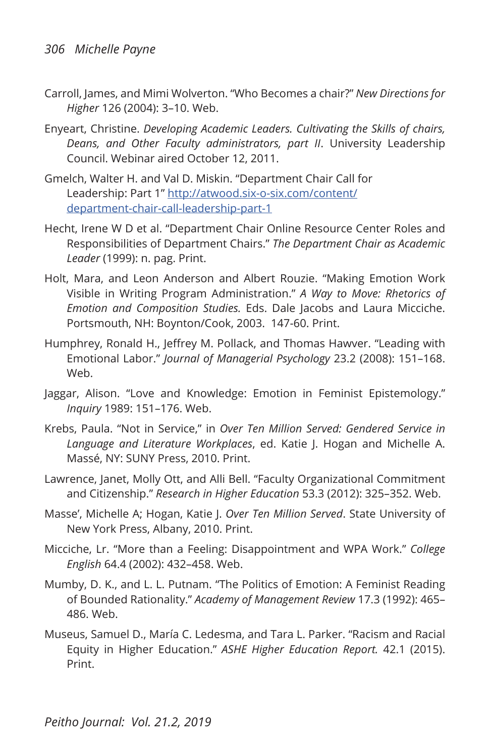- Carroll, James, and Mimi Wolverton. "Who Becomes a chair?" *New Directions for Higher* 126 (2004): 3–10. Web.
- Enyeart, Christine. *Developing Academic Leaders. Cultivating the Skills of chairs, Deans, and Other Faculty administrators, part II*. University Leadership Council. Webinar aired October 12, 2011.
- Gmelch, Walter H. and Val D. Miskin. "Department Chair Call for Leadership: Part 1" http://atwood.six-o-six.com/content/ department-chair-call-leadership-part-1
- Hecht, Irene W D et al. "Department Chair Online Resource Center Roles and Responsibilities of Department Chairs." *The Department Chair as Academic Leader* (1999): n. pag. Print.
- Holt, Mara, and Leon Anderson and Albert Rouzie. "Making Emotion Work Visible in Writing Program Administration." *A Way to Move: Rhetorics of Emotion and Composition Studies.* Eds. Dale Jacobs and Laura Micciche. Portsmouth, NH: Boynton/Cook, 2003. 147-60. Print.
- Humphrey, Ronald H., Jeffrey M. Pollack, and Thomas Hawver. "Leading with Emotional Labor." *Journal of Managerial Psychology* 23.2 (2008): 151–168. Web.
- Jaggar, Alison. "Love and Knowledge: Emotion in Feminist Epistemology." *Inquiry* 1989: 151–176. Web.
- Krebs, Paula. "Not in Service," in *Over Ten Million Served: Gendered Service in Language and Literature Workplaces*, ed. Katie J. Hogan and Michelle A. Massé, NY: SUNY Press, 2010. Print.
- Lawrence, Janet, Molly Ott, and Alli Bell. "Faculty Organizational Commitment and Citizenship." *Research in Higher Education* 53.3 (2012): 325–352. Web.
- Masse', Michelle A; Hogan, Katie J. *Over Ten Million Served*. State University of New York Press, Albany, 2010. Print.
- Micciche, Lr. "More than a Feeling: Disappointment and WPA Work." *College English* 64.4 (2002): 432–458. Web.
- Mumby, D. K., and L. L. Putnam. "The Politics of Emotion: A Feminist Reading of Bounded Rationality." *Academy of Management Review* 17.3 (1992): 465– 486. Web.
- Museus, Samuel D., María C. Ledesma, and Tara L. Parker. "Racism and Racial Equity in Higher Education." *ASHE Higher Education Report.* 42.1 (2015). Print.